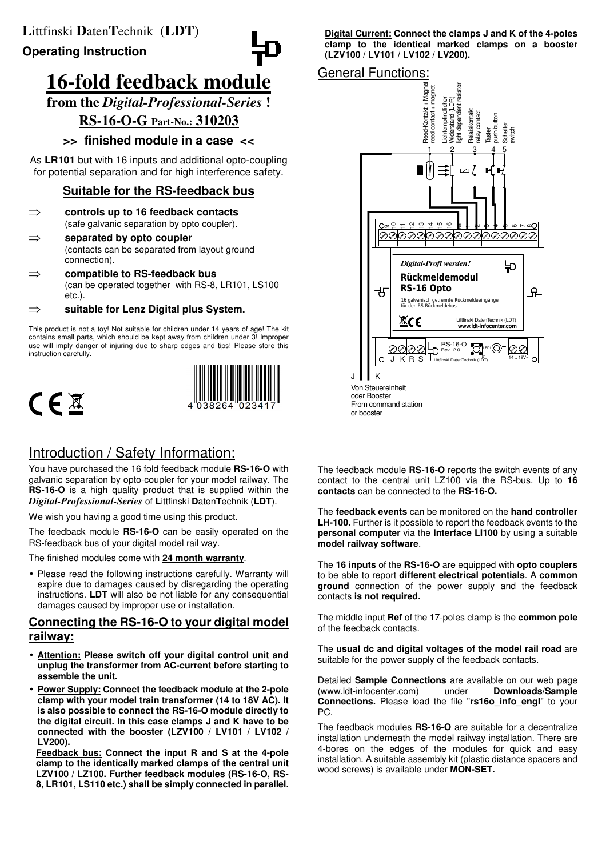# **16-fold feedback module**

**from the** *Digital-Professional-Series* **!**

# **RS-16-O-G Part-No.: 310203**

### **>> finished module in a case <<**

As **LR101** but with 16 inputs and additional opto-coupling for potential separation and for high interference safety.

## **Suitable for the RS-feedback bus**

- ⇒ **controls up to 16 feedback contacts** (safe galvanic separation by opto coupler).
- ⇒ **separated by opto coupler** (contacts can be separated from layout ground connection).
- ⇒ **compatible to RS-feedback bus** (can be operated together with RS-8, LR101, LS100 etc.).
- ⇒ **suitable for Lenz Digital plus System.**

This product is not a toy! Not suitable for children under 14 years of age! The kit contains small parts, which should be kept away from children under 3! Improper use will imply danger of injuring due to sharp edges and tips! Please store this instruction carefully.





# Introduction / Safety Information:

You have purchased the 16 fold feedback module **RS-16-O** with galvanic separation by opto-coupler for your model railway. The **RS-16-O** is a high quality product that is supplied within the *Digital-Professional-Series* of **L**ittfinski **D**aten**T**echnik (**LDT**).

We wish you having a good time using this product.

The feedback module **RS-16-O** can be easily operated on the RS-feedback bus of your digital model rail way.

The finished modules come with **24 month warranty**.

• Please read the following instructions carefully. Warranty will expire due to damages caused by disregarding the operating instructions. **LDT** will also be not liable for any consequential damages caused by improper use or installation.

#### **Connecting the RS-16-O to your digital model railway:**

- **Attention: Please switch off your digital control unit and unplug the transformer from AC-current before starting to assemble the unit.**
- **Power Supply: Connect the feedback module at the 2-pole clamp with your model train transformer (14 to 18V AC). It is also possible to connect the RS-16-O module directly to the digital circuit. In this case clamps J and K have to be connected with the booster (LZV100 / LV101 / LV102 / LV200).**

**Feedback bus: Connect the input R and S at the 4-pole clamp to the identically marked clamps of the central unit LZV100 / LZ100. Further feedback modules (RS-16-O, RS-8, LR101, LS110 etc.) shall be simply connected in parallel.**  **Digital Current: Connect the clamps J and K of the 4-poles clamp to the identical marked clamps on a booster (LZV100 / LV101 / LV102 / LV200).** 

#### General Functions:



The feedback module **RS-16-O** reports the switch events of any contact to the central unit LZ100 via the RS-bus. Up to **16 contacts** can be connected to the **RS-16-O.** 

From command station

or booster

The **feedback events** can be monitored on the **hand controller LH-100.** Further is it possible to report the feedback events to the **personal computer** via the **Interface LI100** by using a suitable **model railway software**.

The **16 inputs** of the **RS-16-O** are equipped with **opto couplers** to be able to report **different electrical potentials**. A **common ground** connection of the power supply and the feedback contacts **is not required.** 

The middle input **Ref** of the 17-poles clamp is the **common pole**  of the feedback contacts.

The **usual dc and digital voltages of the model rail road** are suitable for the power supply of the feedback contacts.

Detailed **Sample Connections** are available on our web page (www.ldt-infocenter.com) under **Downloads/Sample Connections.** Please load the file "**rs16o\_info\_engl**" to your PC.

The feedback modules **RS-16-O** are suitable for a decentralize installation underneath the model railway installation. There are 4-bores on the edges of the modules for quick and easy installation. A suitable assembly kit (plastic distance spacers and wood screws) is available under **MON-SET.**